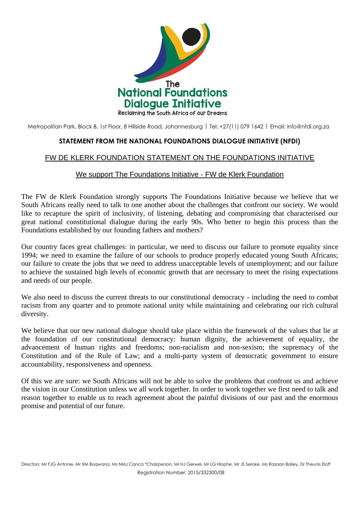

Metropolitan Park, Block B, 1st Floor, 8 Hillside Road, Johannesburg | Tel: +27(11) 079 1642 | Email: [info@nfdi.org.za](mailto:info@nfdi.org.za)

## **STATEMENT FROM THE NATIONAL FOUNDATIONS DIALOGUE INITIATIVE (NFDI)**

## FW DE KLERK FOUNDATION STATEMENT ON THE FOUNDATIONS INITIATIVE

## We support The Foundations Initiative - FW de Klerk Foundation

The FW de Klerk Foundation strongly supports The Foundations Initiative because we believe that we South Africans really need to talk to one another about the challenges that confront our society. We would like to recapture the spirit of inclusivity, of listening, debating and compromising that characterised our great national constitutional dialogue during the early 90s. Who better to begin this process than the Foundations established by our founding fathers and mothers?

Our country faces great challenges: in particular, we need to discuss our failure to promote equality since 1994; we need to examine the failure of our schools to produce properly educated young South Africans; our failure to create the jobs that we need to address unacceptable levels of unemployment; and our failure to achieve the sustained high levels of economic growth that are necessary to meet the rising expectations and needs of our people.

We also need to discuss the current threats to our constitutional democracy - including the need to combat racism from any quarter and to promote national unity while maintaining and celebrating our rich cultural diversity.

We believe that our new national dialogue should take place within the framework of the values that lie at the foundation of our constitutional democracy: human dignity, the achievement of equality, the advancement of human rights and freedoms; non-racialism and non-sexism; the supremacy of the Constitution and of the Rule of Law; and a multi-party system of democratic government to ensure accountability, responsiveness and openness.

Of this we are sure: we South Africans will not be able to solve the problems that confront us and achieve the vision in our Constitution unless we all work together. In order to work together we first need to talk and reason together to enable us to reach agreement about the painful divisions of our past and the enormous promise and potential of our future.